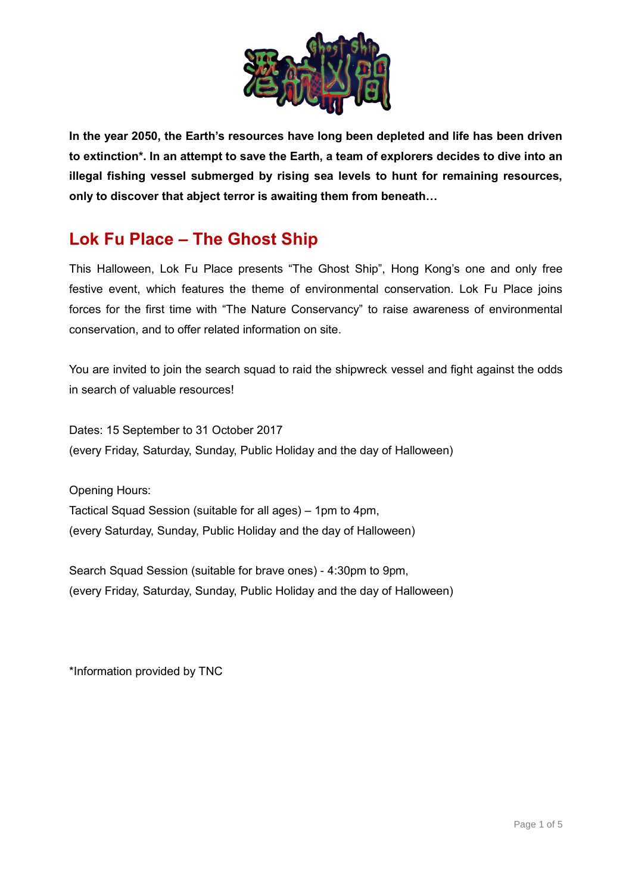

**In the year 2050, the Earth's resources have long been depleted and life has been driven to extinction\*. In an attempt to save the Earth, a team of explorers decides to dive into an illegal fishing vessel submerged by rising sea levels to hunt for remaining resources, only to discover that abject terror is awaiting them from beneath…**

# **Lok Fu Place – The Ghost Ship**

This Halloween, Lok Fu Place presents "The Ghost Ship", Hong Kong's one and only free festive event, which features the theme of environmental conservation. Lok Fu Place joins forces for the first time with "The Nature Conservancy" to raise awareness of environmental conservation, and to offer related information on site.

You are invited to join the search squad to raid the shipwreck vessel and fight against the odds in search of valuable resources!

Dates: 15 September to 31 October 2017 (every Friday, Saturday, Sunday, Public Holiday and the day of Halloween)

Opening Hours:

Tactical Squad Session (suitable for all ages) – 1pm to 4pm, (every Saturday, Sunday, Public Holiday and the day of Halloween)

Search Squad Session (suitable for brave ones) - 4:30pm to 9pm, (every Friday, Saturday, Sunday, Public Holiday and the day of Halloween)

\*Information provided by TNC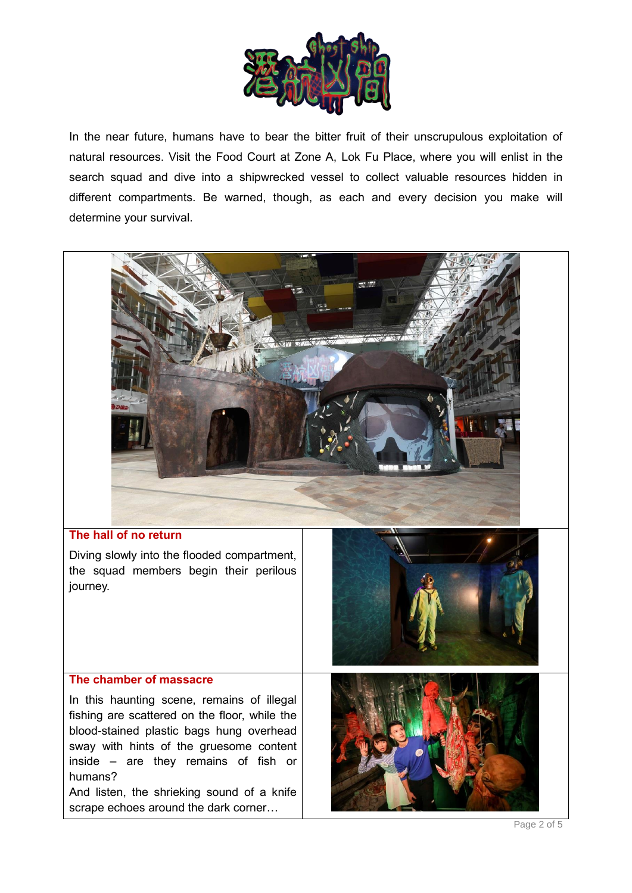

In the near future, humans have to bear the bitter fruit of their unscrupulous exploitation of natural resources. Visit the Food Court at Zone A, Lok Fu Place, where you will enlist in the search squad and dive into a shipwrecked vessel to collect valuable resources hidden in different compartments. Be warned, though, as each and every decision you make will determine your survival.



Page 2 of 5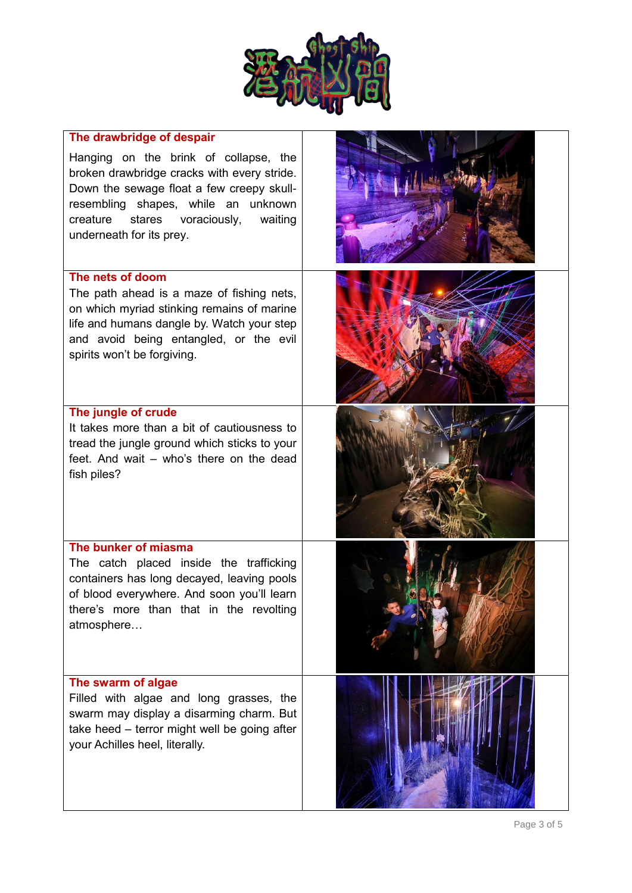

| The drawbridge of despair                                                                                                                                                                                                                             |  |
|-------------------------------------------------------------------------------------------------------------------------------------------------------------------------------------------------------------------------------------------------------|--|
| Hanging on the brink of collapse, the<br>broken drawbridge cracks with every stride.<br>Down the sewage float a few creepy skull-<br>resembling shapes, while an unknown<br>creature<br>voraciously,<br>stares<br>waiting<br>underneath for its prey. |  |
| The nets of doom<br>The path ahead is a maze of fishing nets,<br>on which myriad stinking remains of marine<br>life and humans dangle by. Watch your step<br>and avoid being entangled, or the evil<br>spirits won't be forgiving.                    |  |
| The jungle of crude<br>It takes more than a bit of cautiousness to<br>tread the jungle ground which sticks to your<br>feet. And wait – who's there on the dead<br>fish piles?                                                                         |  |
| The bunker of miasma<br>The catch placed inside the trafficking<br>containers has long decayed, leaving pools<br>of blood everywhere. And soon you'll learn<br>there's more than that in the revolting<br>atmosphere                                  |  |
| The swarm of algae<br>Filled with algae and long grasses, the<br>swarm may display a disarming charm. But<br>take heed - terror might well be going after<br>your Achilles heel, literally.                                                           |  |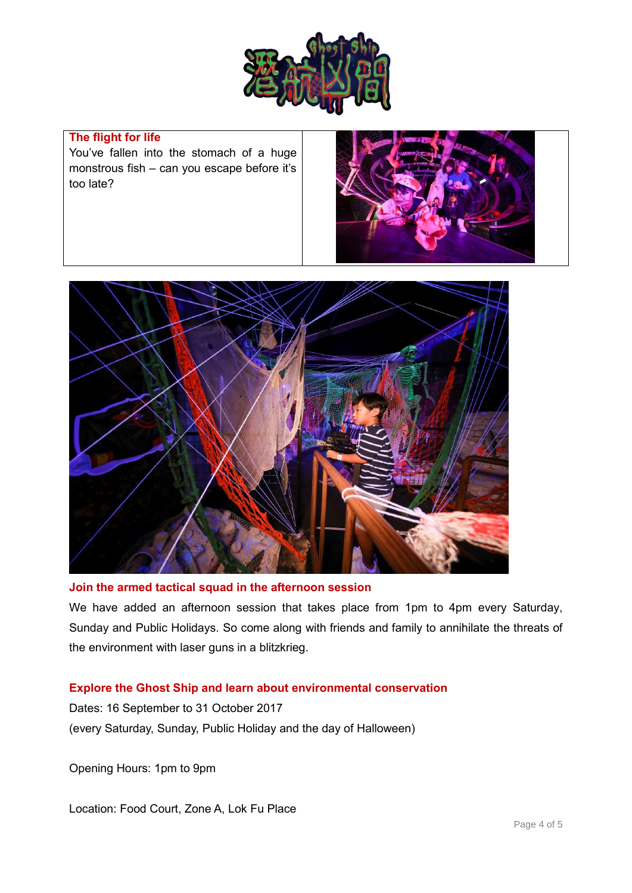

## **The flight for life**

You've fallen into the stomach of a huge monstrous fish – can you escape before it's too late?





### **Join the armed tactical squad in the afternoon session**

We have added an afternoon session that takes place from 1pm to 4pm every Saturday, Sunday and Public Holidays. So come along with friends and family to annihilate the threats of the environment with laser guns in a blitzkrieg.

#### **Explore the Ghost Ship and learn about environmental conservation**

Dates: 16 September to 31 October 2017 (every Saturday, Sunday, Public Holiday and the day of Halloween)

Opening Hours: 1pm to 9pm

Location: Food Court, Zone A, Lok Fu Place